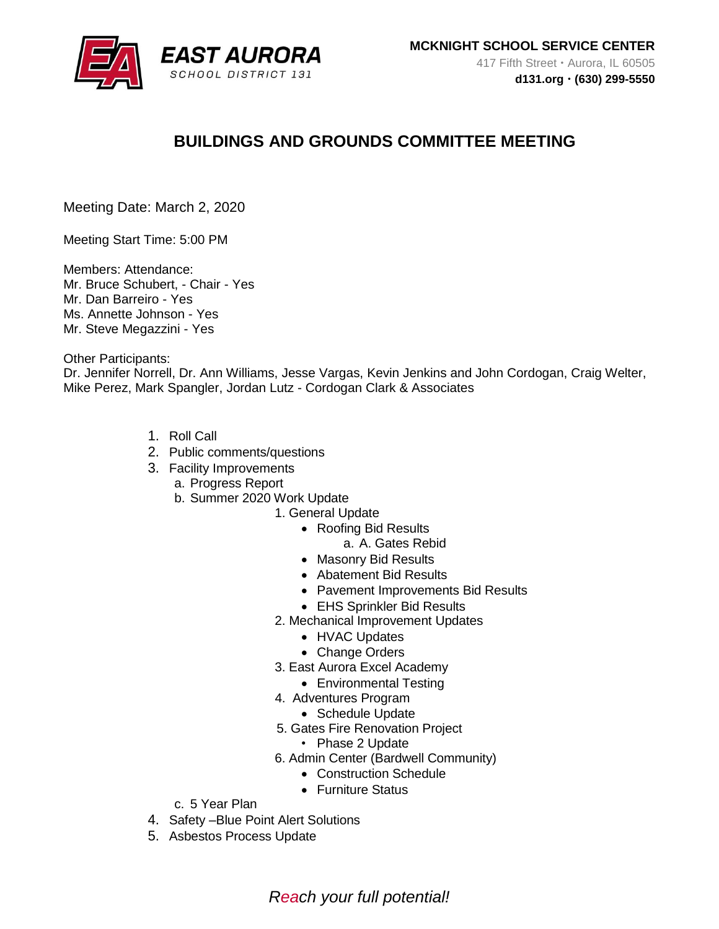

# **BUILDINGS AND GROUNDS COMMITTEE MEETING**

Meeting Date: March 2, 2020

Meeting Start Time: 5:00 PM

Members: Attendance: Mr. Bruce Schubert, - Chair - Yes Mr. Dan Barreiro - Yes Ms. Annette Johnson - Yes Mr. Steve Megazzini - Yes

Other Participants:

Dr. Jennifer Norrell, Dr. Ann Williams, Jesse Vargas, Kevin Jenkins and John Cordogan, Craig Welter, Mike Perez, Mark Spangler, Jordan Lutz - Cordogan Clark & Associates

- 1. Roll Call
- 2. Public comments/questions
- 3. Facility Improvements
	- a. Progress Report
	- b. Summer 2020 Work Update
		- 1. General Update
			- Roofing Bid Results
				- a. A. Gates Rebid
			- Masonry Bid Results
			- Abatement Bid Results
			- Pavement Improvements Bid Results
			- EHS Sprinkler Bid Results
			- 2. Mechanical Improvement Updates
				- HVAC Updates
				- Change Orders
			- 3. East Aurora Excel Academy
				- Environmental Testing
			- 4. Adventures Program
				- Schedule Update
			- 5. Gates Fire Renovation Project
				- Phase 2 Update
			- 6. Admin Center (Bardwell Community)
				- Construction Schedule
				- Furniture Status
	- c. 5 Year Plan
- 4. Safety –Blue Point Alert Solutions
- 5. Asbestos Process Update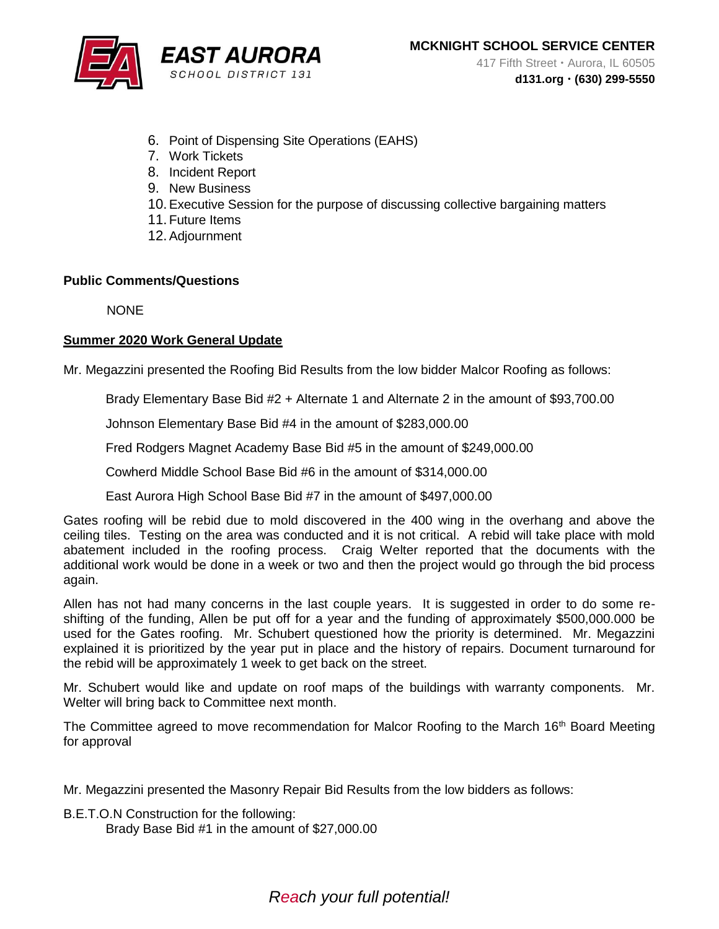

- 6. Point of Dispensing Site Operations (EAHS)
- 7. Work Tickets
- 8. Incident Report
- 9. New Business
- 10.Executive Session for the purpose of discussing collective bargaining matters
- 11.Future Items
- 12.Adjournment

### **Public Comments/Questions**

**NONE** 

### **Summer 2020 Work General Update**

Mr. Megazzini presented the Roofing Bid Results from the low bidder Malcor Roofing as follows:

Brady Elementary Base Bid #2 + Alternate 1 and Alternate 2 in the amount of \$93,700.00

Johnson Elementary Base Bid #4 in the amount of \$283,000.00

Fred Rodgers Magnet Academy Base Bid #5 in the amount of \$249,000.00

Cowherd Middle School Base Bid #6 in the amount of \$314,000.00

East Aurora High School Base Bid #7 in the amount of \$497,000.00

Gates roofing will be rebid due to mold discovered in the 400 wing in the overhang and above the ceiling tiles. Testing on the area was conducted and it is not critical. A rebid will take place with mold abatement included in the roofing process. Craig Welter reported that the documents with the additional work would be done in a week or two and then the project would go through the bid process again.

Allen has not had many concerns in the last couple years. It is suggested in order to do some reshifting of the funding, Allen be put off for a year and the funding of approximately \$500,000.000 be used for the Gates roofing. Mr. Schubert questioned how the priority is determined. Mr. Megazzini explained it is prioritized by the year put in place and the history of repairs. Document turnaround for the rebid will be approximately 1 week to get back on the street.

Mr. Schubert would like and update on roof maps of the buildings with warranty components. Mr. Welter will bring back to Committee next month.

The Committee agreed to move recommendation for Malcor Roofing to the March 16<sup>th</sup> Board Meeting for approval

Mr. Megazzini presented the Masonry Repair Bid Results from the low bidders as follows:

B.E.T.O.N Construction for the following: Brady Base Bid #1 in the amount of \$27,000.00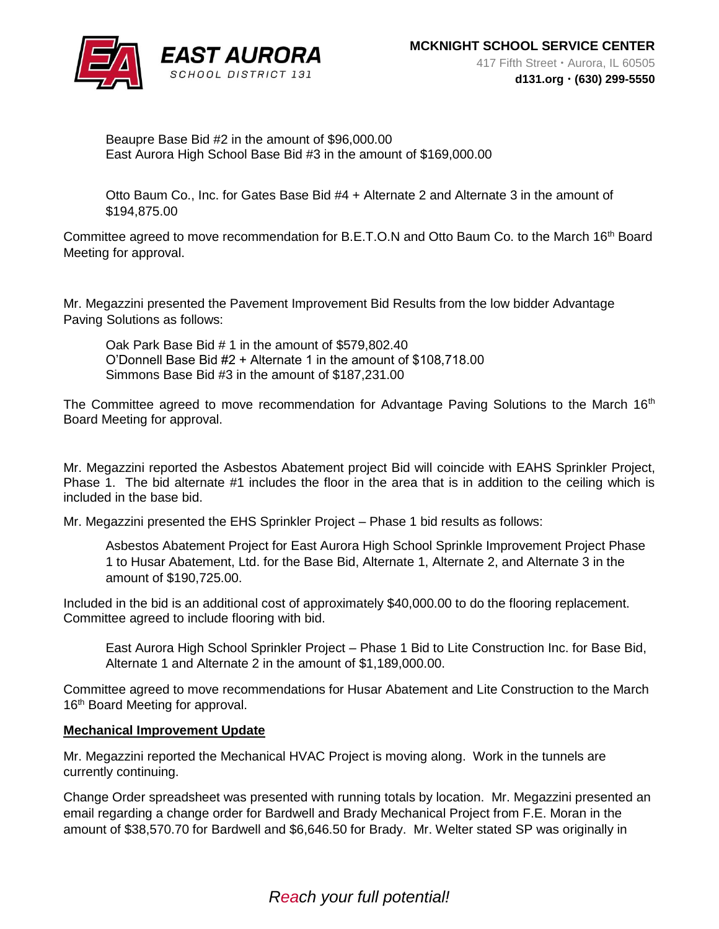

Beaupre Base Bid #2 in the amount of \$96,000.00 East Aurora High School Base Bid #3 in the amount of \$169,000.00

Otto Baum Co., Inc. for Gates Base Bid #4 + Alternate 2 and Alternate 3 in the amount of \$194,875.00

Committee agreed to move recommendation for B.E.T.O.N and Otto Baum Co. to the March 16<sup>th</sup> Board Meeting for approval.

Mr. Megazzini presented the Pavement Improvement Bid Results from the low bidder Advantage Paving Solutions as follows:

Oak Park Base Bid # 1 in the amount of \$579,802.40 O'Donnell Base Bid #2 + Alternate 1 in the amount of \$108,718.00 Simmons Base Bid #3 in the amount of \$187,231.00

The Committee agreed to move recommendation for Advantage Paving Solutions to the March 16<sup>th</sup> Board Meeting for approval.

Mr. Megazzini reported the Asbestos Abatement project Bid will coincide with EAHS Sprinkler Project, Phase 1. The bid alternate #1 includes the floor in the area that is in addition to the ceiling which is included in the base bid.

Mr. Megazzini presented the EHS Sprinkler Project – Phase 1 bid results as follows:

Asbestos Abatement Project for East Aurora High School Sprinkle Improvement Project Phase 1 to Husar Abatement, Ltd. for the Base Bid, Alternate 1, Alternate 2, and Alternate 3 in the amount of \$190,725.00.

Included in the bid is an additional cost of approximately \$40,000.00 to do the flooring replacement. Committee agreed to include flooring with bid.

East Aurora High School Sprinkler Project – Phase 1 Bid to Lite Construction Inc. for Base Bid, Alternate 1 and Alternate 2 in the amount of \$1,189,000.00.

Committee agreed to move recommendations for Husar Abatement and Lite Construction to the March 16<sup>th</sup> Board Meeting for approval.

#### **Mechanical Improvement Update**

Mr. Megazzini reported the Mechanical HVAC Project is moving along. Work in the tunnels are currently continuing.

Change Order spreadsheet was presented with running totals by location. Mr. Megazzini presented an email regarding a change order for Bardwell and Brady Mechanical Project from F.E. Moran in the amount of \$38,570.70 for Bardwell and \$6,646.50 for Brady. Mr. Welter stated SP was originally in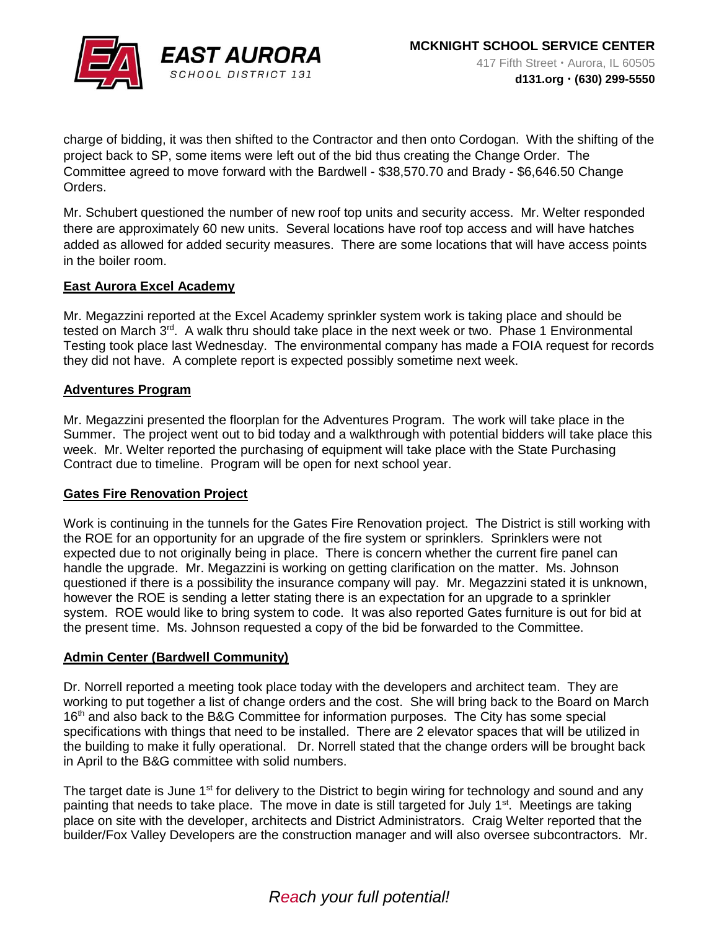

charge of bidding, it was then shifted to the Contractor and then onto Cordogan. With the shifting of the project back to SP, some items were left out of the bid thus creating the Change Order. The Committee agreed to move forward with the Bardwell - \$38,570.70 and Brady - \$6,646.50 Change Orders.

Mr. Schubert questioned the number of new roof top units and security access. Mr. Welter responded there are approximately 60 new units. Several locations have roof top access and will have hatches added as allowed for added security measures. There are some locations that will have access points in the boiler room.

### **East Aurora Excel Academy**

Mr. Megazzini reported at the Excel Academy sprinkler system work is taking place and should be tested on March  $3<sup>rd</sup>$ . A walk thru should take place in the next week or two. Phase 1 Environmental Testing took place last Wednesday. The environmental company has made a FOIA request for records they did not have. A complete report is expected possibly sometime next week.

#### **Adventures Program**

Mr. Megazzini presented the floorplan for the Adventures Program. The work will take place in the Summer. The project went out to bid today and a walkthrough with potential bidders will take place this week. Mr. Welter reported the purchasing of equipment will take place with the State Purchasing Contract due to timeline. Program will be open for next school year.

#### **Gates Fire Renovation Project**

Work is continuing in the tunnels for the Gates Fire Renovation project. The District is still working with the ROE for an opportunity for an upgrade of the fire system or sprinklers. Sprinklers were not expected due to not originally being in place. There is concern whether the current fire panel can handle the upgrade. Mr. Megazzini is working on getting clarification on the matter. Ms. Johnson questioned if there is a possibility the insurance company will pay. Mr. Megazzini stated it is unknown, however the ROE is sending a letter stating there is an expectation for an upgrade to a sprinkler system. ROE would like to bring system to code. It was also reported Gates furniture is out for bid at the present time. Ms. Johnson requested a copy of the bid be forwarded to the Committee.

### **Admin Center (Bardwell Community)**

Dr. Norrell reported a meeting took place today with the developers and architect team. They are working to put together a list of change orders and the cost. She will bring back to the Board on March 16<sup>th</sup> and also back to the B&G Committee for information purposes. The City has some special specifications with things that need to be installed. There are 2 elevator spaces that will be utilized in the building to make it fully operational. Dr. Norrell stated that the change orders will be brought back in April to the B&G committee with solid numbers.

The target date is June 1<sup>st</sup> for delivery to the District to begin wiring for technology and sound and any painting that needs to take place. The move in date is still targeted for July 1<sup>st</sup>. Meetings are taking place on site with the developer, architects and District Administrators. Craig Welter reported that the builder/Fox Valley Developers are the construction manager and will also oversee subcontractors. Mr.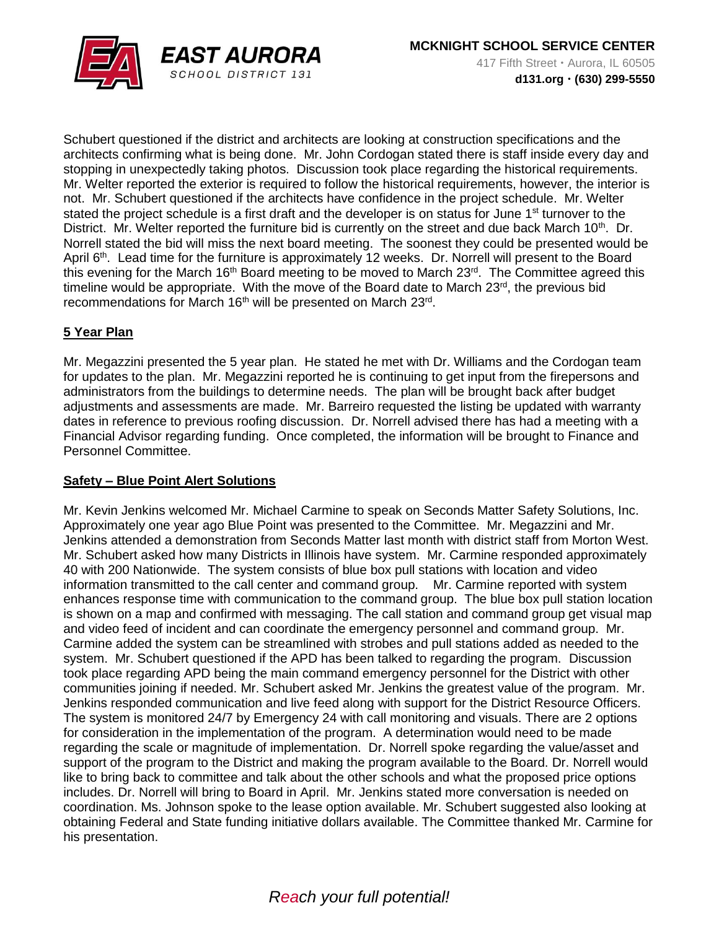

Schubert questioned if the district and architects are looking at construction specifications and the architects confirming what is being done. Mr. John Cordogan stated there is staff inside every day and stopping in unexpectedly taking photos. Discussion took place regarding the historical requirements. Mr. Welter reported the exterior is required to follow the historical requirements, however, the interior is not. Mr. Schubert questioned if the architects have confidence in the project schedule. Mr. Welter stated the project schedule is a first draft and the developer is on status for June 1<sup>st</sup> turnover to the District. Mr. Welter reported the furniture bid is currently on the street and due back March 10<sup>th</sup>. Dr. Norrell stated the bid will miss the next board meeting. The soonest they could be presented would be April 6<sup>th</sup>. Lead time for the furniture is approximately 12 weeks. Dr. Norrell will present to the Board this evening for the March 16<sup>th</sup> Board meeting to be moved to March  $23<sup>rd</sup>$ . The Committee agreed this timeline would be appropriate. With the move of the Board date to March 23<sup>rd</sup>, the previous bid recommendations for March 16<sup>th</sup> will be presented on March 23<sup>rd</sup>.

## **5 Year Plan**

Mr. Megazzini presented the 5 year plan. He stated he met with Dr. Williams and the Cordogan team for updates to the plan. Mr. Megazzini reported he is continuing to get input from the firepersons and administrators from the buildings to determine needs. The plan will be brought back after budget adjustments and assessments are made. Mr. Barreiro requested the listing be updated with warranty dates in reference to previous roofing discussion. Dr. Norrell advised there has had a meeting with a Financial Advisor regarding funding. Once completed, the information will be brought to Finance and Personnel Committee.

## **Safety – Blue Point Alert Solutions**

Mr. Kevin Jenkins welcomed Mr. Michael Carmine to speak on Seconds Matter Safety Solutions, Inc. Approximately one year ago Blue Point was presented to the Committee. Mr. Megazzini and Mr. Jenkins attended a demonstration from Seconds Matter last month with district staff from Morton West. Mr. Schubert asked how many Districts in Illinois have system. Mr. Carmine responded approximately 40 with 200 Nationwide. The system consists of blue box pull stations with location and video information transmitted to the call center and command group. Mr. Carmine reported with system enhances response time with communication to the command group. The blue box pull station location is shown on a map and confirmed with messaging. The call station and command group get visual map and video feed of incident and can coordinate the emergency personnel and command group. Mr. Carmine added the system can be streamlined with strobes and pull stations added as needed to the system. Mr. Schubert questioned if the APD has been talked to regarding the program. Discussion took place regarding APD being the main command emergency personnel for the District with other communities joining if needed. Mr. Schubert asked Mr. Jenkins the greatest value of the program. Mr. Jenkins responded communication and live feed along with support for the District Resource Officers. The system is monitored 24/7 by Emergency 24 with call monitoring and visuals. There are 2 options for consideration in the implementation of the program. A determination would need to be made regarding the scale or magnitude of implementation. Dr. Norrell spoke regarding the value/asset and support of the program to the District and making the program available to the Board. Dr. Norrell would like to bring back to committee and talk about the other schools and what the proposed price options includes. Dr. Norrell will bring to Board in April. Mr. Jenkins stated more conversation is needed on coordination. Ms. Johnson spoke to the lease option available. Mr. Schubert suggested also looking at obtaining Federal and State funding initiative dollars available. The Committee thanked Mr. Carmine for his presentation.